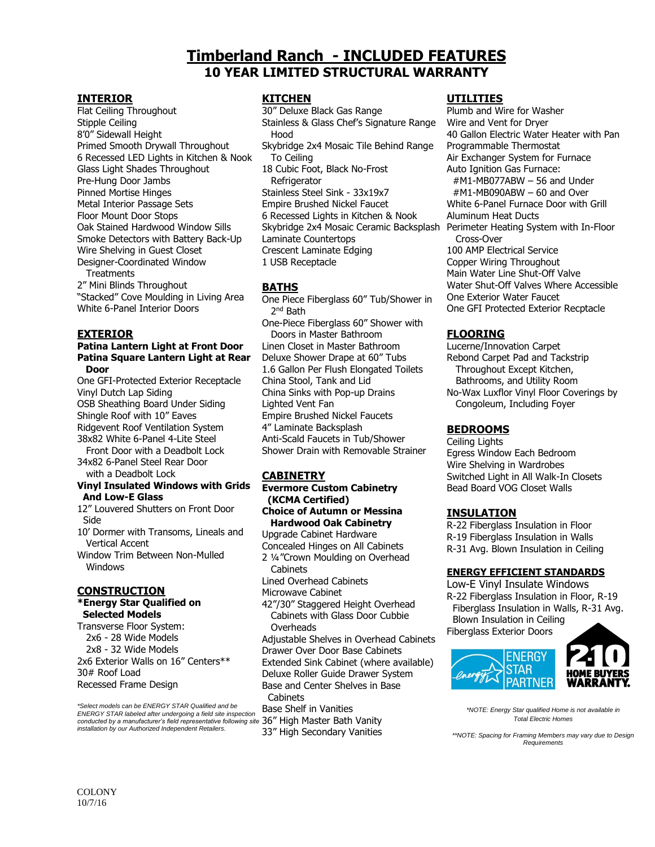# **Timberland Ranch - INCLUDED FEATURES 10 YEAR LIMITED STRUCTURAL WARRANTY**

### **INTERIOR**

Flat Ceiling Throughout Stipple Ceiling 8'0" Sidewall Height Primed Smooth Drywall Throughout 6 Recessed LED Lights in Kitchen & Nook Glass Light Shades Throughout Pre-Hung Door Jambs Pinned Mortise Hinges Metal Interior Passage Sets Floor Mount Door Stops Oak Stained Hardwood Window Sills Smoke Detectors with Battery Back-Up Wire Shelving in Guest Closet Designer-Coordinated Window **Treatments** 

2" Mini Blinds Throughout "Stacked" Cove Moulding in Living Area White 6-Panel Interior Doors

#### **EXTERIOR**

#### **Patina Lantern Light at Front Door Patina Square Lantern Light at Rear Door**

One GFI-Protected Exterior Receptacle Vinyl Dutch Lap Siding OSB Sheathing Board Under Siding Shingle Roof with 10" Eaves Ridgevent Roof Ventilation System 38x82 White 6-Panel 4-Lite Steel

 Front Door with a Deadbolt Lock 34x82 6-Panel Steel Rear Door with a Deadbolt Lock

#### **Vinyl Insulated Windows with Grids And Low-E Glass**

12" Louvered Shutters on Front Door Side

10' Dormer with Transoms, Lineals and Vertical Accent

Window Trim Between Non-Mulled **Windows** 

# **CONSTRUCTION**

#### **\*Energy Star Qualified on Selected Models**

Transverse Floor System: 2x6 - 28 Wide Models 2x8 - 32 Wide Models 2x6 Exterior Walls on 16" Centers\*\* 30# Roof Load Recessed Frame Design

*\*Select models can be ENERGY STAR Qualified and be ENERGY STAR labeled after undergoing a field site inspection conducted by a manufacturer's field representative following site*  36" High Master Bath Vanity *installation by our Authorized Independent Retailers.*

### **KITCHEN**

30" Deluxe Black Gas Range Stainless & Glass Chef's Signature Range Hood Skybridge 2x4 Mosaic Tile Behind Range To Ceiling 18 Cubic Foot, Black No-Frost **Refrigerator** Stainless Steel Sink - 33x19x7 Empire Brushed Nickel Faucet 6 Recessed Lights in Kitchen & Nook Skybridge 2x4 Mosaic Ceramic Backsplash Perimeter Heating System with In-Floor Laminate Countertops Crescent Laminate Edging 1 USB Receptacle

### **BATHS**

One Piece Fiberglass 60" Tub/Shower in 2<sup>nd</sup> Bath One-Piece Fiberglass 60" Shower with Doors in Master Bathroom Linen Closet in Master Bathroom Deluxe Shower Drape at 60" Tubs 1.6 Gallon Per Flush Elongated Toilets China Stool, Tank and Lid China Sinks with Pop-up Drains Lighted Vent Fan Empire Brushed Nickel Faucets 4" Laminate Backsplash Anti-Scald Faucets in Tub/Shower Shower Drain with Removable Strainer

# **CABINETRY**

**Evermore Custom Cabinetry (KCMA Certified) Choice of Autumn or Messina Hardwood Oak Cabinetry** Upgrade Cabinet Hardware Concealed Hinges on All Cabinets 2 ¼"Crown Moulding on Overhead Cabinets Lined Overhead Cabinets Microwave Cabinet 42"/30" Staggered Height Overhead Cabinets with Glass Door Cubbie **Overheads** 

Adjustable Shelves in Overhead Cabinets Drawer Over Door Base Cabinets Extended Sink Cabinet (where available) Deluxe Roller Guide Drawer System Base and Center Shelves in Base Cabinets Base Shelf in Vanities

33" High Secondary Vanities

# **UTILITIES**

Plumb and Wire for Washer Wire and Vent for Dryer 40 Gallon Electric Water Heater with Pan Programmable Thermostat Air Exchanger System for Furnace Auto Ignition Gas Furnace: #M1-MB077ABW – 56 and Under #M1-MB090ABW – 60 and Over White 6-Panel Furnace Door with Grill Aluminum Heat Ducts Cross-Over 100 AMP Electrical Service Copper Wiring Throughout Main Water Line Shut-Off Valve Water Shut-Off Valves Where Accessible One Exterior Water Faucet One GFI Protected Exterior Recptacle

# **FLOORING**

Lucerne/Innovation Carpet Rebond Carpet Pad and Tackstrip Throughout Except Kitchen, Bathrooms, and Utility Room No-Wax Luxflor Vinyl Floor Coverings by Congoleum, Including Foyer

# **BEDROOMS**

Ceiling Lights Egress Window Each Bedroom Wire Shelving in Wardrobes Switched Light in All Walk-In Closets Bead Board VOG Closet Walls

# **INSULATION**

R-22 Fiberglass Insulation in Floor R-19 Fiberglass Insulation in Walls R-31 Avg. Blown Insulation in Ceiling

#### **ENERGY EFFICIENT STANDARDS**

Low-E Vinyl Insulate Windows R-22 Fiberglass Insulation in Floor, R-19 Fiberglass Insulation in Walls, R-31 Avg. Blown Insulation in Ceiling Fiberglass Exterior Doors



*\*NOTE: Energy Star qualified Home is not available in Total Electric Homes*

*\*\*NOTE: Spacing for Framing Members may vary due to Design Requirements*